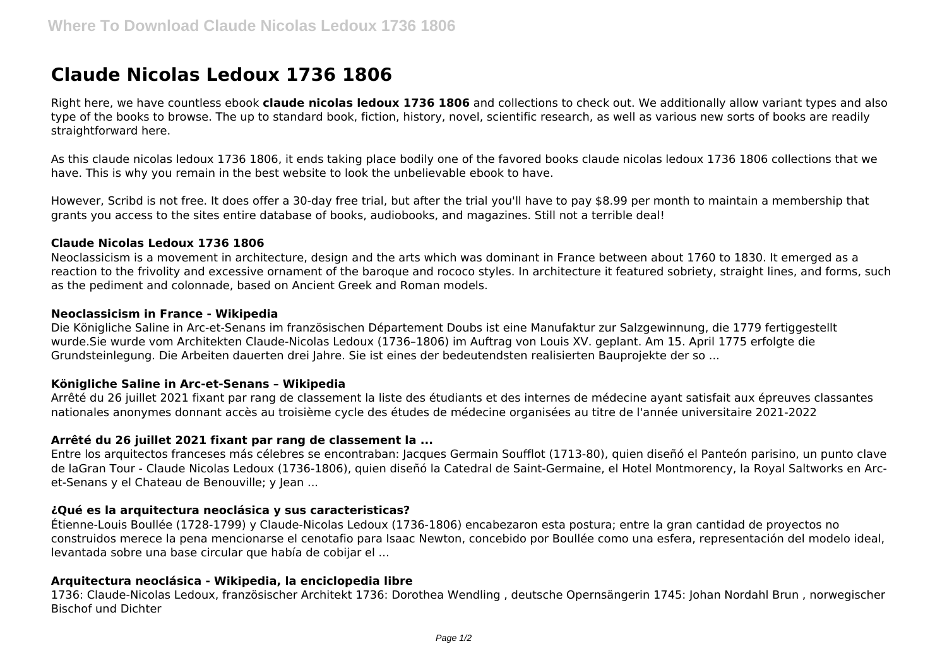# **Claude Nicolas Ledoux 1736 1806**

Right here, we have countless ebook **claude nicolas ledoux 1736 1806** and collections to check out. We additionally allow variant types and also type of the books to browse. The up to standard book, fiction, history, novel, scientific research, as well as various new sorts of books are readily straightforward here.

As this claude nicolas ledoux 1736 1806, it ends taking place bodily one of the favored books claude nicolas ledoux 1736 1806 collections that we have. This is why you remain in the best website to look the unbelievable ebook to have.

However, Scribd is not free. It does offer a 30-day free trial, but after the trial you'll have to pay \$8.99 per month to maintain a membership that grants you access to the sites entire database of books, audiobooks, and magazines. Still not a terrible deal!

### **Claude Nicolas Ledoux 1736 1806**

Neoclassicism is a movement in architecture, design and the arts which was dominant in France between about 1760 to 1830. It emerged as a reaction to the frivolity and excessive ornament of the baroque and rococo styles. In architecture it featured sobriety, straight lines, and forms, such as the pediment and colonnade, based on Ancient Greek and Roman models.

#### **Neoclassicism in France - Wikipedia**

Die Königliche Saline in Arc-et-Senans im französischen Département Doubs ist eine Manufaktur zur Salzgewinnung, die 1779 fertiggestellt wurde.Sie wurde vom Architekten Claude-Nicolas Ledoux (1736–1806) im Auftrag von Louis XV. geplant. Am 15. April 1775 erfolgte die Grundsteinlegung. Die Arbeiten dauerten drei Jahre. Sie ist eines der bedeutendsten realisierten Bauprojekte der so ...

### **Königliche Saline in Arc-et-Senans – Wikipedia**

Arrêté du 26 juillet 2021 fixant par rang de classement la liste des étudiants et des internes de médecine ayant satisfait aux épreuves classantes nationales anonymes donnant accès au troisième cycle des études de médecine organisées au titre de l'année universitaire 2021-2022

### **Arrêté du 26 juillet 2021 fixant par rang de classement la ...**

Entre los arquitectos franceses más célebres se encontraban: Jacques Germain Soufflot (1713-80), quien diseñó el Panteón parisino, un punto clave de laGran Tour - Claude Nicolas Ledoux (1736-1806), quien diseñó la Catedral de Saint-Germaine, el Hotel Montmorency, la Royal Saltworks en Arcet-Senans y el Chateau de Benouville; y Jean ...

### **¿Qué es la arquitectura neoclásica y sus caracteristicas?**

Étienne-Louis Boullée (1728-1799) y Claude-Nicolas Ledoux (1736-1806) encabezaron esta postura; entre la gran cantidad de proyectos no construidos merece la pena mencionarse el cenotafio para Isaac Newton, concebido por Boullée como una esfera, representación del modelo ideal, levantada sobre una base circular que había de cobijar el ...

### **Arquitectura neoclásica - Wikipedia, la enciclopedia libre**

1736: Claude-Nicolas Ledoux, französischer Architekt 1736: Dorothea Wendling , deutsche Opernsängerin 1745: Johan Nordahl Brun , norwegischer Bischof und Dichter